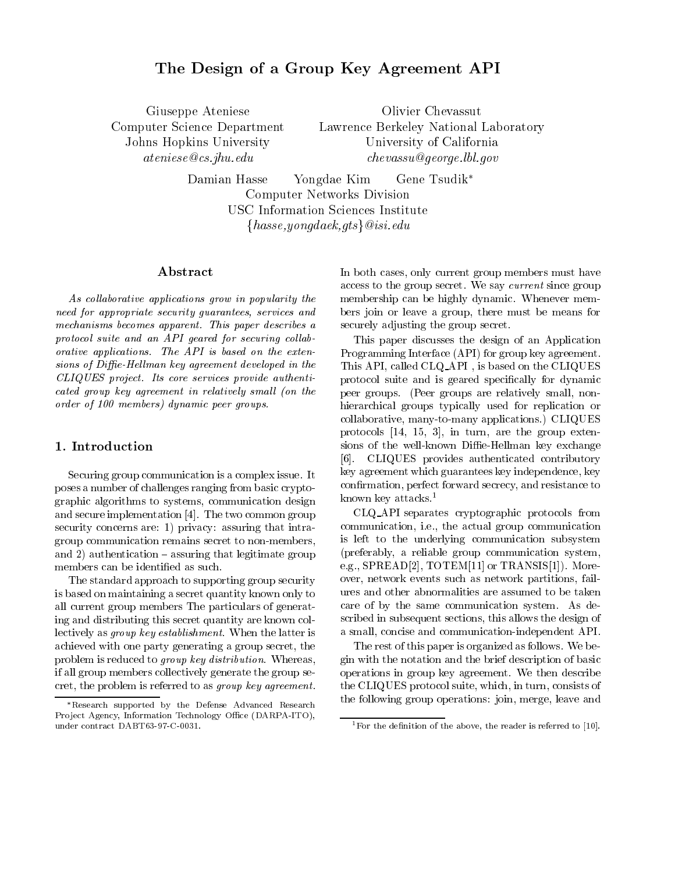# The Design of a Group Key Agreement API

Giuseppe Ateniese Computer Science Department Johns Hopkins University ateniese@cs.jhu.edu

Olivier Chevassut Lawrence Berkeley National Laboratory University of California chevassu@george.lbl.gov

Damian Hasse Yongdae Kim Gene Tsudik Computer Networks Division USC Information Sciences Institute  $\{hasse, yongdaek, qts\}$  @isi.edu

### Abstract

As collaborative applications grow in popularity the need for appropriate security guarantees, services and mechanisms becomes apparent. This paper describes a protocol suite and an API geared for securing collaborative applications. The API is based on the extensions of Diffie-Hellman key agreement developed in the CLIQUES project. Its core services provide authenticated group key agreement in relatively small (on the order of 100 members) dynamic peer groups.

### 1. Introduction

Securing group communication is a complex issue. It poses a number of challenges ranging from basic cryptographic algorithms to systems, communication design and secure implementation [4]. The two common group security concerns are: 1) privacy: assuring that intragroup communication remains secret to non-members, and  $2)$  authentication  $-$  assuring that legitimate group members can be identied as such.

The standard approach to supporting group security is based on maintaining a secret quantity known only to all current group members The particulars of generating and distributing this secret quantity are known collectively as group key establishment. When the latter is achieved with one party generating a group secret, the problem is reduced to group key distribution. Whereas, if all group members collectively generate the group secret, the problem is referred to as group key agreement.

In both cases, only current group members must have access to the group secret. We say current since group membership can be highly dynamic. Whenever members join or leave a group, there must be means for securely adjusting the group secret.

This paper discusses the design of an Application Programming Interface (API) for group key agreement. This API, called CLQ API , is based on the CLIQUES protocol suite and is geared specifically for dynamic peer groups. (Peer groups are relatively small, nonhierarchical groups typically used for replication or collaborative, many-to-many applications.) CLIQUES protocols [14, 15, 3], in turn, are the group extensions of the well-known Diffie-Hellman key exchange [6]. CLIQUES provides authenticated contributory key agreement which guarantees key independence, key confirmation, perfect forward secrecy, and resistance to known key attacks.1

CLQ API separates cryptographic protocols from communication, i.e., the actual group communication is left to the underlying communication subsystem (preferably, a reliable group communication system, e.g., SPREAD[2], TOTEM[11] or TRANSIS[1]). Moreover, network events such as network partitions, failures and other abnormalities are assumed to be taken care of by the same communication system. As described in subsequent sections, this allows the design of a small, concise and communication-independent API.

The rest of this paper is organized as follows. We begin with the notation and the brief description of basic operations in group key agreement. We then describe the CLIQUES protocol suite, which, in turn, consists of the following group operations: join, merge, leave and

Research supported by the Defense Advanced Research Project Agency, Information Technology Office (DARPA-ITO), under contract DABT63-97-C-0031.

<sup>&</sup>lt;sup>1</sup> For the definition of the above, the reader is referred to  $[10]$ .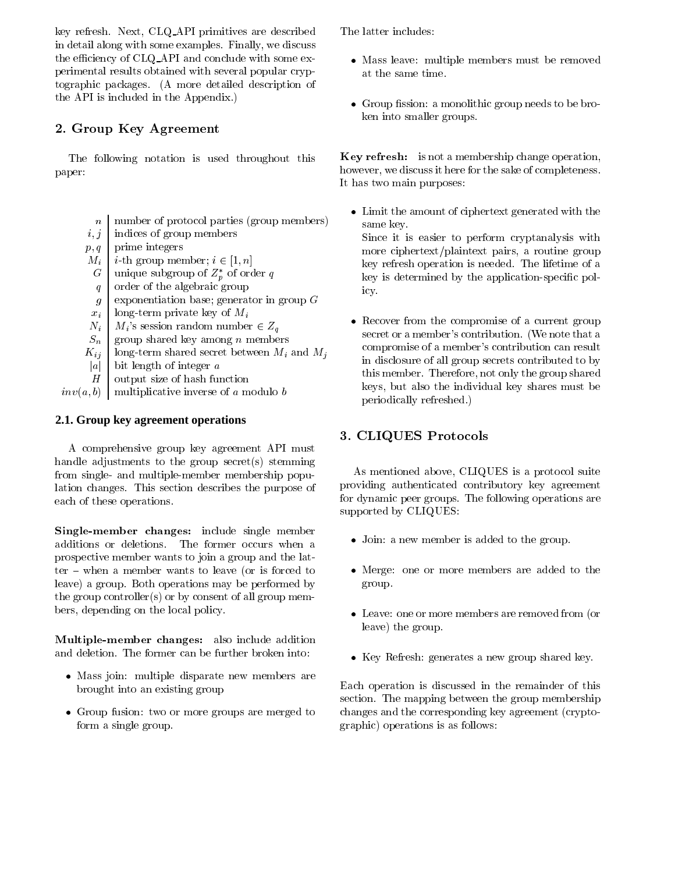key refresh. Next, CLQ API primitives are described in detail along with some examples. Finally, we discuss the efficiency of  $CLQ$  API and conclude with some experimental results obtained with several popular cryptographic packages. (A more detailed description of the API is included in the Appendix.)

## 2. Group Key Agreement

The following notation is used throughout this paper:

- nnumber of protocol parties (group members)
- $i, j$ indices of group members
- $p, q$ prime integers
- $M_i$  i-th group member;  $i \in [1, n]$
- Gunique subgroup of  $Z_p$  of order  $q$
- qorder of the algebraic group
- gexponentiation base; generator in group <sup>G</sup>
- $x_i$  | long-term private key of  $M_i$
- $N_i$  |  $M_i$ 's session random number  $\in Z_q$
- $S_n$  group shared key among n members
- $K_{ij}$  long-term shared secret between  $M_i$  and  $M_j$
- |a| | bit length of integer  $a$
- Houtput size of hash function

 $inv(a, b)$  multiplicative inverse of a modulo b

### **2.1. Group key agreement operations**

A comprehensive group key agreement API must handle adjustments to the group secret(s) stemming from single- and multiple-member membership population changes. This section describes the purpose of each of these operations.

Single-member changes: include single member additions or deletions. The former occurs when a prospective member wants to join a group and the lat $ter - when a member wants to leave (or is forced to$ leave) a group. Both operations may be performed by the group controller(s) or by consent of all group members, depending on the local policy.

Multiple-member changes: also include addition and deletion. The former can be further broken into:

- Mass join: multiple disparate new members are brought into an existing group
- $\bullet$  Group fusion: two or more groups are merged to cha form a single group.

The latter includes:

- $\bullet$  Mass leave: multiple members must be removed at the same time.
- $\bullet$  Group fission: a monolithic group needs to be broken into smaller groups.

Key refresh: is not a membership change operation, however, we discuss it here for the sake of completeness. It has two main purposes:

 Limit the amount of ciphertext generated with the same key.

Since it is easier to perform cryptanalysis with more ciphertext/plaintext pairs, a routine group key refresh operation is needed. The lifetime of a key is determined by the application-specic policy.

 $\bullet$  -Kecover from the compromise of a current group secret or a member's contribution. (We note that a compromise of a member's contribution can result in disclosure of all group secrets contributed to by this member. Therefore, not only the group shared keys, but also the individual key shares must be periodically refreshed.)

# 3. CLIQUES Protocols

As mentioned above, CLIQUES is a protocol suite providing authenticated contributory key agreement for dynamic peer groups. The following operations are supported by CLIQUES:

- Join: a new member is added to the group.
- Merge: one or more members are added to the group.
- Leave: one or more members are removed from (or leave) the group.
- $\bullet\,$  Key Keiresh: generates a new group shared key.

Each operation is discussed in the remainder of this section. The mapping between the group membership changes and the corresponding key agreement (cryptographic) operations is as follows: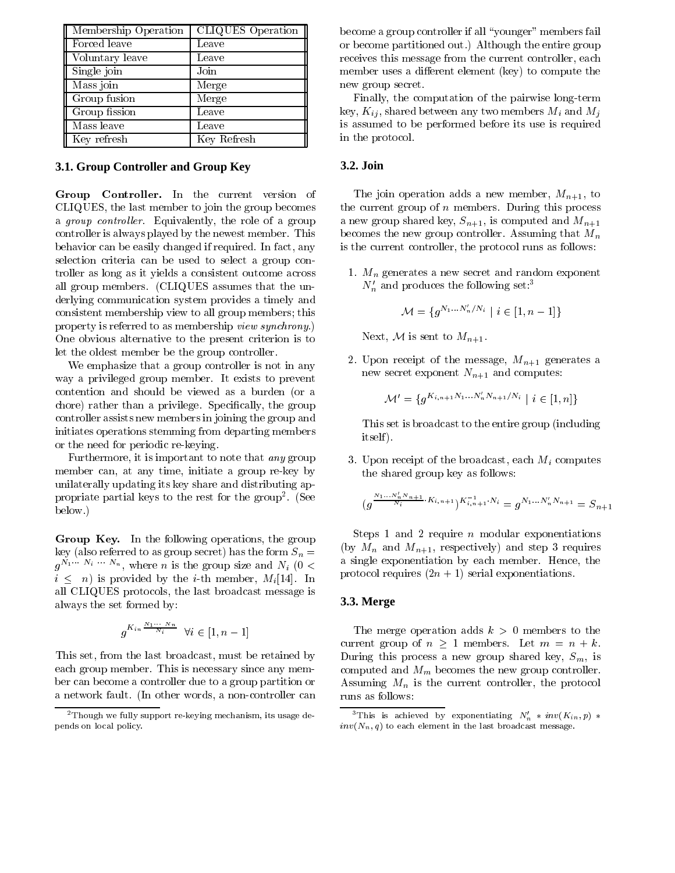| Membership Operation | <b>CLIQUES</b> Operation |  |
|----------------------|--------------------------|--|
| Forced leave         | Leave                    |  |
| Voluntary leave      | Leave                    |  |
| Single join          | Join                     |  |
| Mass join            | Merge                    |  |
| Group fusion         | Merge                    |  |
| Group fission        | Leave                    |  |
| Mass leave           | Leave                    |  |
| Key refresh          | Key Refresh              |  |

#### **3.1. Group Controller and Group Key**

Group Controller. In the current version of CLIQUES, the last member to join the group becomes a *group controller*. Equivalently, the role of a group controller is always played by the newest member. This behavior can be easily changed if required. In fact, any selection criteria can be used to select a group controller as long as it yields a consistent outcome across all group members. (CLIQUES assumes that the underlying communication system provides a timely and consistent membership view to all group members; this property is referred to as membership view synchrony.) One obvious alternative to the present criterion is to let the oldest member be the group controller.

We emphasize that a group controller is not in any way a privileged group member. It exists to prevent contention and should be viewed as a burden (or a chore) rather than a privilege. Specifically, the group controller assists new members in joining the group and initiates operations stemming from departing members or the need for periodic re-keying.

Furthermore, it is important to note that any group member can, at any time, initiate a group re-key by unilaterally updating its key share and distributing appropriate partial keys to the rest for the group. (See below.)

Group Arcy, in the following operations, the group key (also referred to as group secret) has the form  $S_n =$  $g^{n+1}$  is the group size and  $N_i$  (0 <  $\Box$  $i \leq n$  is provided by the *i*-th member,  $M_i[14]$ . In all CLIQUES protocols, the last broadcast message is always the set formed by:

$$
g^{K_{in}\frac{N_1\cdots N_n}{N_i}}\ \ \forall i\in[1,n-1]
$$

This set, from the last broadcast, must be retained by each group member. This is necessary since any member can become a controller due to a group partition or a network fault. (In other words, a non-controller can become a group controller if all "younger" members fail or become partitioned out.) Although the entire group receives this message from the current controller, each member uses a different element (key) to compute the new group secret.

Finally, the computation of the pairwise long-term key,  $K_{ij}$ , shared between any two members  $M_i$  and  $M_j$ is assumed to be performed before its use is required in the protocol.

#### **3.2. Join**

The join operation adds a new member,  $M_{n+1}$ , to the current group of  $n$  members. During this process a new group shared key,  $S_{n+1}$ , is computed and  $M_{n+1}$ becomes the new group controller. Assuming that  $M_n$ is the current controller, the protocol runs as follows:

1.  $M_n$  generates a new secret and random exponent  $N'_n$  and produces the following set:<sup>3</sup>

$$
\mathcal{M}=\{g^{N_1...N_n'/N_i} \mid i\in[1,n-1]\}
$$

Next, M is sent to  $M_{n+1}$ .

2. Upon receipt of the message,  $M_{n+1}$  generates a new secret exponent  $N_{n+1}$  and computes:

$$
\mathcal{M}'=\{g^{K_{i,n+1}N_1\ldots N_n'N_{n+1}/N_i}\mid i\in[1,n]\}
$$

This set is broadcast to the entire group (including itself ).

3. Upon receipt of the broadcast, each  $M_i$  computes the shared group key as follows:

$$
(g^{\frac{N_1 \dots N_n' N_{n+1}}{N_i} \cdot K_{i,n+1}})^{K_{i,n+1}^{-1} \cdot N_i} = g^{N_1 \dots N_n' N_{n+1}} = S_{n+1}
$$

Steps 1 and 2 require  $n$  modular exponentiations (by  $M_n$  and  $M_{n+1}$ , respectively) and step 3 requires a single exponentiation by each member. Hence, the protocol requires  $(2n + 1)$  serial exponentiations.

#### **3.3. Merge**

The merge operation adds  $k > 0$  members to the current group of  $n \geq 1$  members. Let  $m = n + k$ . During this process a new group shared key,  $S_m$ , is computed and  $M_m$  becomes the new group controller. Assuming  $M_n$  is the current controller, the protocol runs as follows:

 $2$ Though we fully support re-keying mechanism, its usage depends on local policy.

<sup>&</sup>lt;sup>3</sup>This is achieved by exponentiating  $N'_n * inv(K_{in}, p) *$  $inv(N_n, q)$  to each element in the last broadcast message.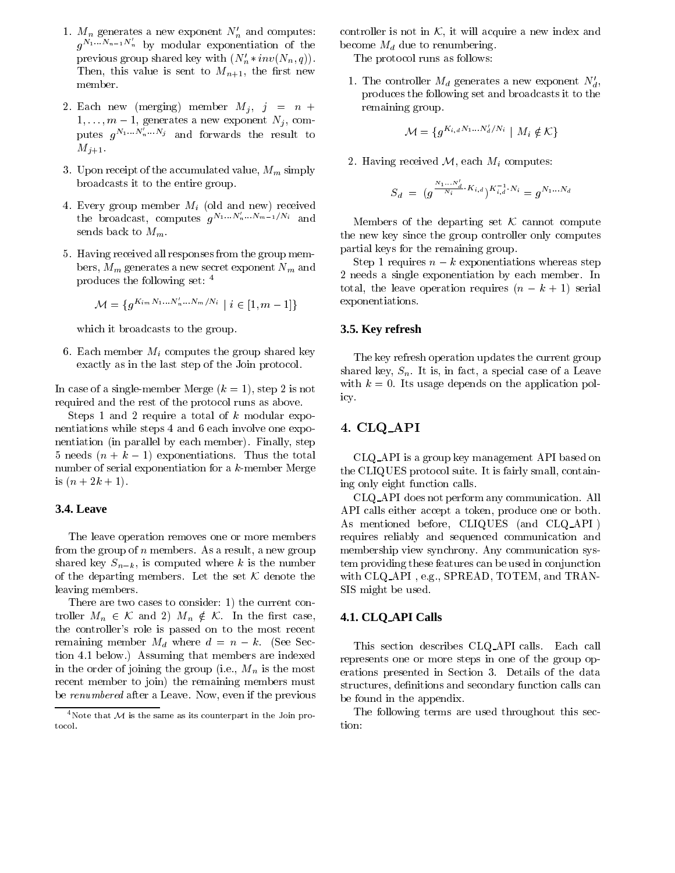- 1.  $M_n$  generates a new exponent  $N'_n$  and computes:  $q^{N_1...N_{n-1}N_n}$  by modular exponentiation of the be previous group shared key with  $(N_n * inv(N_n, q))$ . Then, this value is sent to  $M_{n+1}$ , the first new member.
- 2. Each new (merging) member  $M_j$ ,  $j = n +$  $1,\ldots,m-1$ , generates a new exponent  $N_j$ , computes  $q^{N_1...N_n...N_j}$  and forwards the result to  $M_{j+1}$ .
- 3. Upon receipt of the accumulated value,  $M_m$  simply broadcasts it to the entire group.
- 4. Every group member  $M_i$  (old and new) received the broadcast, computes  $g^{N_1...N_n...N_{m-1}/N_i}$  and sends back to  $M_m$ .
- 5. Having received all responses from the group members,  $M_m$  generates a new secret exponent  $N_m$  and produces the following set: <sup>4</sup>

$$
\mathcal{M} = \{ g^{K_{im}N_1...N_n'...N_m/N_i} \mid i \in [1, m-1] \}
$$

which it broadcasts to the group.

6. Each member  $M_i$  computes the group shared key exactly as in the last step of the Join protocol.

In case of a single-member Merge  $(k = 1)$ , step 2 is not required and the rest of the protocol runs as above.

Steps 1 and 2 require a total of k modular exponentiations while steps 4 and 6 each involve one exponentiation (in parallel by each member). Finally, step 5 needs  $(n + k - 1)$  exponentiations. Thus the total number of serial exponentiation for a k-member Merge is  $(n + 2k + 1)$ .

#### **3.4. Leave**

The leave operation removes one or more members from the group of  $n$  members. As a result, a new group shared key  $S_{n-k}$ , is computed where k is the number of the departing members. Let the set  $K$  denote the leaving members.

There are two cases to consider: 1) the current controller  $M_n \in \mathcal{K}$  and 2)  $M_n \notin \mathcal{K}$ . In the first case, the controller's role is passed on to the most recent remaining member  $M_d$  where  $d = n - k$ . (See Section 4.1 below.) Assuming that members are indexed in the order of joining the group (i.e.,  $M_n$  is the most recent member to join) the remaining members must be renumbered after a Leave. Now, even if the previous controller is not in  $K$ , it will acquire a new index and become  $M_d$  due to renumbering.

The protocol runs as follows:

1. The controller  $M_d$  generates a new exponent  $N_d$ , produces the following set and broadcasts it to the remaining group.

$$
\mathcal{M} = \{ g^{K_{i,d}N_1...N_d'/N_i} \mid M_i \notin \mathcal{K} \}
$$

2. Having received  $\mathcal{M}$ , each  $M_i$  computes:

$$
S_d \; = \; (g^{\frac{N_1 \dots N_d'}{N_i} \cdot K_{i,d}})^{K_{i,d}^{-1} \cdot N_i} = g^{N_1 \dots N_d}
$$

Members of the departing set  $K$  cannot compute the new key since the group controller only computes partial keys for the remaining group.

Step 1 requires  $n - k$  exponentiations whereas step 2 needs a single exponentiation by each member. In total, the leave operation requires  $(n - k + 1)$  serial exponentiations.

#### **3.5. Key refresh**

The key refresh operation updates the current group shared key,  $S_n$ . It is, in fact, a special case of a Leave with  $k = 0$ . Its usage depends on the application policy.

### 4. CLQ API

CLQ API is a group key management API based on the CLIQUES protocol suite. It is fairly small, containing only eight function calls.

CLQ API does not perform any communication. All API calls either accept a token, produce one or both. As mentioned before, CLIQUES (and CLQ API ) requires reliably and sequenced communication and membership view synchrony. Any communication system providing these features can be used in conjunction with CLQ API , e.g., SPREAD, TOTEM, and TRAN-SIS might be used.

### **4.1. CLQ API Calls**

This section describes CLQ API calls. Each call represents one or more steps in one of the group operations presented in Section 3. Details of the data structures, definitions and secondary function calls can be found in the appendix.

The following terms are used throughout this section:

<sup>&</sup>lt;sup>4</sup>Note that  $M$  is the same as its counterpart in the Join protocol.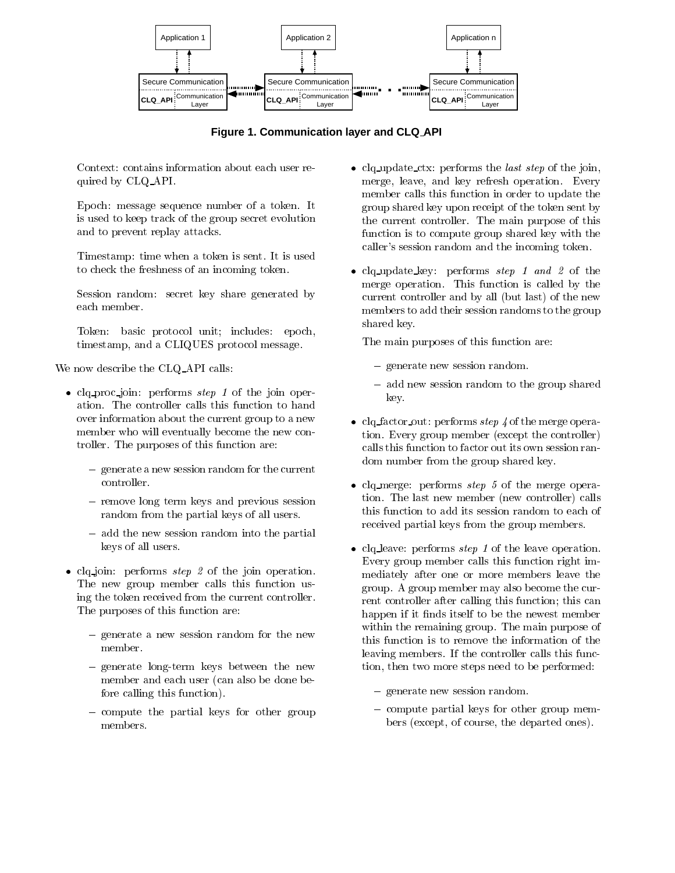

**Figure 1. Communication layer and CLQ API**

Context: contains information about each user required by CLQ API.

Epoch: message sequence number of a token. It is used to keep track of the group secret evolution and to prevent replay attacks.

Timestamp: time when a token is sent. It is used to check the freshness of an incoming token.

Session random: secret key share generated by each member.

Token: basic protocol unit; includes: epoch, timestamp, and a CLIQUES protocol message.

We now describe the CLQ API calls:

- $\bullet$  clq\_proc\_join: performs  $step$   $1$  of the join operation. The controller calls this function to hand over information about the current group to a new member who will eventually become the new controller. The purposes of this function are:
	- ${\color{black}\mathcal{A}}$  -new sets in the current random for the current current current current current current current current current current current current current current current current current current current current current controller.
	- { remove long term keys and previous session random from the partial keys of all users.
	- { add the new session random into the partial keys of all users.
- $\bullet$  ciq\_join: performs  $step$   $z$  of the join operation. The new group member calls this function using the token received from the current controller. The purposes of this function are:
	- ${\bf g}$  and for the new session random for the new set  ${\bf g}$  . The new set  ${\bf g}$ member.
	- ${\bf g}$  and the news between the news between the news between the news between the news  ${\bf g}$ member and each user (can also be done before calling this function).
	- $\alpha$  computed the particles for  $\beta$  for other groups  $\alpha$ members.
- $\bullet$  ciq\_update\_ctx: performs the *last step* of the join, merge, leave, and key refresh operation. Every member calls this function in order to update the group shared key upon receipt of the token sent by the current controller. The main purpose of this function is to compute group shared key with the caller's session random and the incoming token.
- $\bullet$  clq\_update\_key: performs step 1 and 2 of the merge operation. This function is called by the current controller and by all (but last) of the new members to add their session randoms to the group shared key.

The main purposes of this function are:

- ${\color{red}\mathcal{A}}$  . Here is new sets in random random.
- add new session random to the group shared key.
- $\bullet$  ciq\_tactor\_out: performs  $step$  4 of the merge operation. Every group member (except the controller) calls this function to factor out its own session random number from the group shared key.
- $\bullet$  clq\_merge: performs  $step$  5 of the merge operation. The last new member (new controller) calls this function to add its session random to each of received partial keys from the group members.
- $\bullet$  ciq leave: performs  $step$  1 of the leave operation. Every group member calls this function right immediately after one or more members leave the group. A group member may also become the current controller after calling this function; this can happen if it finds itself to be the newest member within the remaining group. The main purpose of this function is to remove the information of the leaving members. If the controller calls this function, then two more steps need to be performed:
	- { generate new session random.
	- { compute partial keys for other group members (except, of course, the departed ones).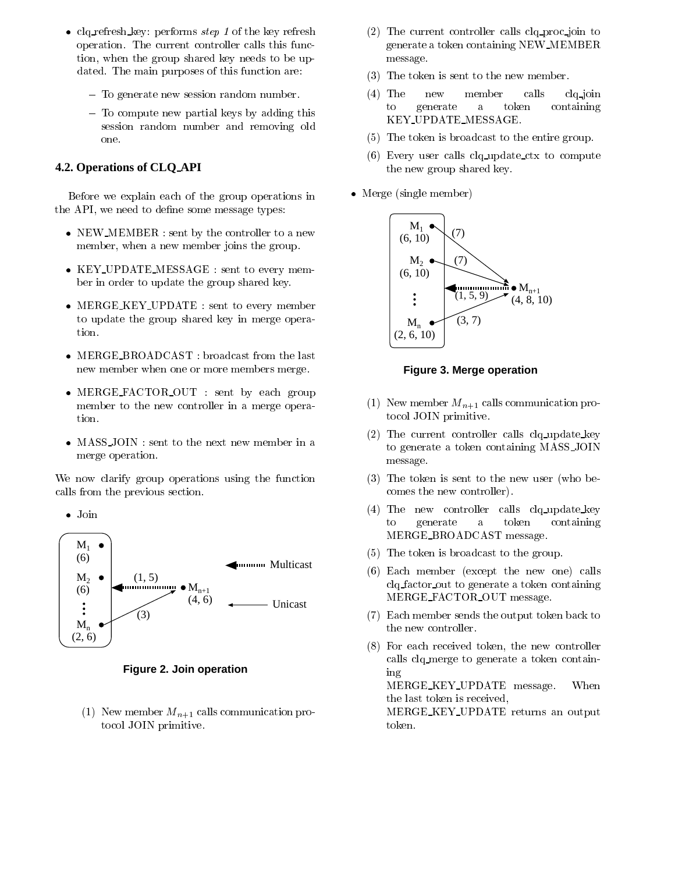- $\bullet$  clq\_refresh\_key: performs  $step$  I of the key refresh operation. The current controller calls this function, when the group shared key needs to be updated. The main purposes of this function are:
	- { To generate new session random number.
	- ${\bf T}$  and a rewrite the partial keys by a distribution  ${\bf T}$  and  ${\bf T}$ session random number and removing old one.

### **4.2. Operations of CLQ API**

Before we explain each of the group operations in the API, we need to define some message types:

- $\bullet$  NEW MEMBER : sent by the controller to a new member, when a new member joins the group.
- KEY UPDATE MESSAGE : sent to every member in order to update the group shared key.
- MERGE KEY UPDATE : sent to every member to update the group shared key in merge operation.
- MERGE BROADCAST : broadcast from the last new member when one or more members merge.
- MERGE FACTOR OUT : sent by each group member to the new controller in a merge operation.
- MASS JOIN : sent to the next new member in a merge operation.

We now clarify group operations using the function calls from the previous section.

 $\bullet$  Join



**Figure 2. Join operation**

(1) New member  $M_{n+1}$  calls communication protocol JOIN primitive.

- (2) The current controller calls clq proc join to generate a token containing NEW MEMBER message.
- (3) The token is sent to the new member.
- (4) The new member calls clq join to generate a token containing KEY UPDATE MESSAGE.
- (5) The token is broadcast to the entire group.
- (6) Every user calls clq update ctx to compute the new group shared key.
- $\bullet\,$  Merge (single member)  $\,$



**Figure 3. Merge operation**

- (1) New member  $M_{n+1}$  calls communication protocol JOIN primitive.
- (2) The current controller calls clq update key to generate a token containing MASS JOIN message.
- (3) The token is sent to the new user (who becomes the new controller).
- (4) The new controller calls clq update key to to generate a token containing MERGE BROADCAST message.
- (5) The token is broadcast to the group.
- $(6)$  Each member (except the new one) calls clq factor out to generate a token containing MERGE\_FACTOR\_OUT message.
- (7) Each member sends the output token back to the new controller.
- (8) For each received token, the new controller calls clq merge to generate a token containing

MERGE KEY UPDATE message. When the last token is received,

MERGE KEY UPDATE returns an output token.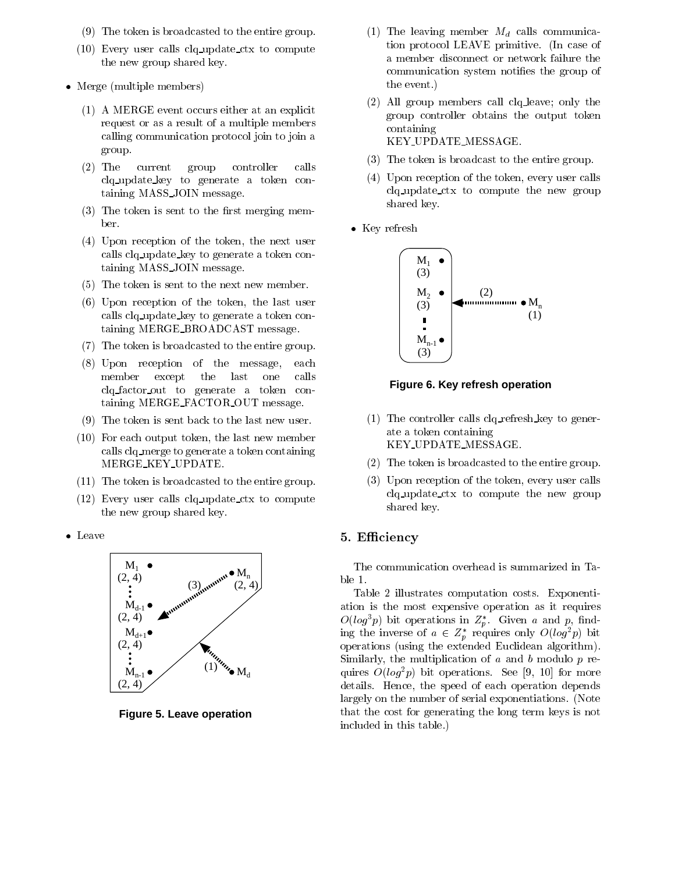- (9) The token is broadcasted to the entire group.
- (10) Every user calls clq update ctx to compute the new group shared key.
- $\bullet\,$  Merge (multiple members)  $\,$ 
	- (1) A MERGE event occurs either at an explicit request or as a result of a multiple members calling communication protocol join to join a group.
	- $(2)$  The current group controller calls clq update key to generate a token containing MASS JOIN message.
	- $(3)$  The token is sent to the first merging member.
	- (4) Upon reception of the token, the next user calls clq update key to generate a token containing MASS JOIN message.
	- (5) The token is sent to the next new member.
	- (6) Upon reception of the token, the last user calls clq update key to generate a token containing MERGE\_BROADCAST message.
	- (7) The token is broadcasted to the entire group.
	- $(8)$  Upon reception of the message, each member except the last one calls clq factor out to generate a token containing MERGE FACTOR OUT message.
	- (9) The token is sent back to the last new user.
	- (10) For each output token, the last new member calls clq merge to generate a token containing MERGE KEY UPDATE.
	- (11) The token is broadcasted to the entire group.
	- (12) Every user calls clq update ctx to compute the new group shared key.
- $\bullet$  Leave



**Figure 5. Leave operation**

- (1) The leaving member  $M_d$  calls communication protocol LEAVE primitive. (In case of a member disconnect or network failure the communication system notifies the group of the event.)
- (2) All group members call clq leave; only the group controller obtains the output token containing KEY UPDATE MESSAGE.
- (3) The token is broadcast to the entire group.
- (4) Upon reception of the token, every user calls clq update ctx to compute the new group shared key.
- Key refresh



**Figure 6. Key refresh operation**

- (1) The controller calls clq refresh key to generate a token containing KEY UPDATE MESSAGE.
- (2) The token is broadcasted to the entire group.
- (3) Upon reception of the token, every user calls clq update ctx to compute the new group shared key.

### 5. Efficiency

The communication overhead is summarized in Ta-

Table 2 illustrates computation costs. Exponentiation is the most expensive operation as it requires  $O(log\,p)$  bit operations in  $Z_p$ . Given a and p, imding the inverse of  $a \in \mathbb{Z}_p^*$  requires only  $O(log^2p)$  bit operations (using the extended Euclidean algorithm). Similarly, the multiplication of  $a$  and  $b$  modulo  $p$  requires  $O(log^2p)$  bit operations. See [9, 10] for more details. Hence, the speed of each operation depends largely on the number of serial exponentiations. (Note that the cost for generating the long term keys is not included in this table.)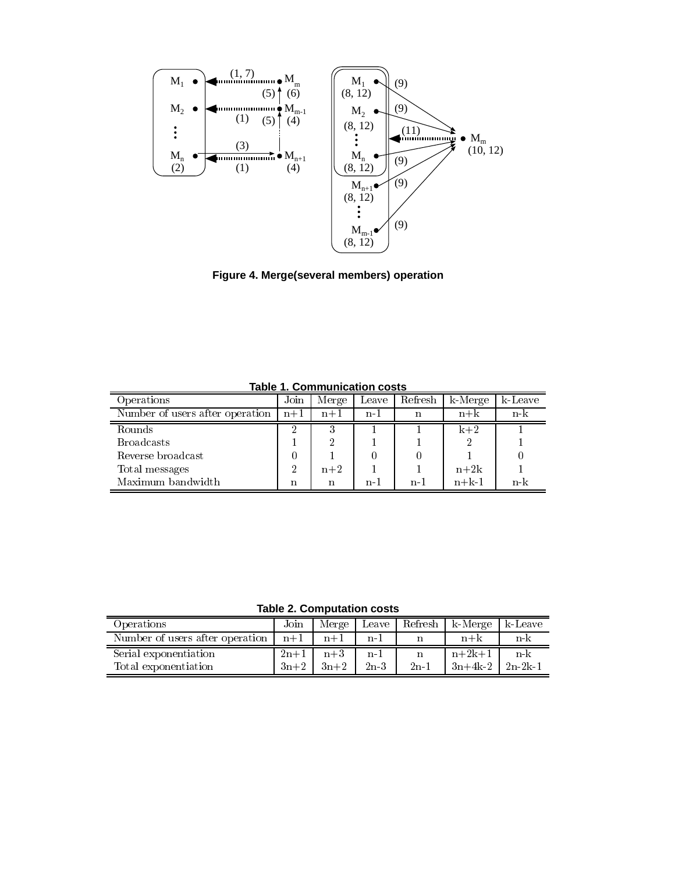

**Figure 4. Merge(several members) operation**

| Join  | Merge | Leave | Refresh | k-Merge | k-Leave |
|-------|-------|-------|---------|---------|---------|
| $n+1$ | $n+1$ | $n-1$ | n       | $n + k$ | n-k     |
|       | 3     |       |         | $k+2$   |         |
|       | റ     |       |         |         |         |
|       |       |       |         |         |         |
| 2     | $n+2$ |       |         | $n+2k$  |         |
| n     | n     | n-1   | $n-1$   | $n+k-1$ | n-k     |
|       |       |       |         |         |         |

**Table 1. Communication costs**

**Table 2. Computation costs**

|                                 |        | IUMIV EI VYIIIMULULIVII VYYLY |        |        |                           |         |
|---------------------------------|--------|-------------------------------|--------|--------|---------------------------|---------|
| <i>Operations</i>               | Join   | Merge 1                       |        |        | Leave   Refresh   k-Merge | k-Leave |
| Number of users after operation | $n+1$  | $n+1$                         | $n-1$  |        | $n+k$                     | n-k     |
| Serial exponentiation           | $2n+1$ | $n+3$                         | $n-1$  |        | $n+2k+1$                  | n-k     |
| Total exponentiation            | $3n+2$ | $3n+2$                        | $2n-3$ | $2n-1$ | $3n+4k-2$   $2n-2k-1$     |         |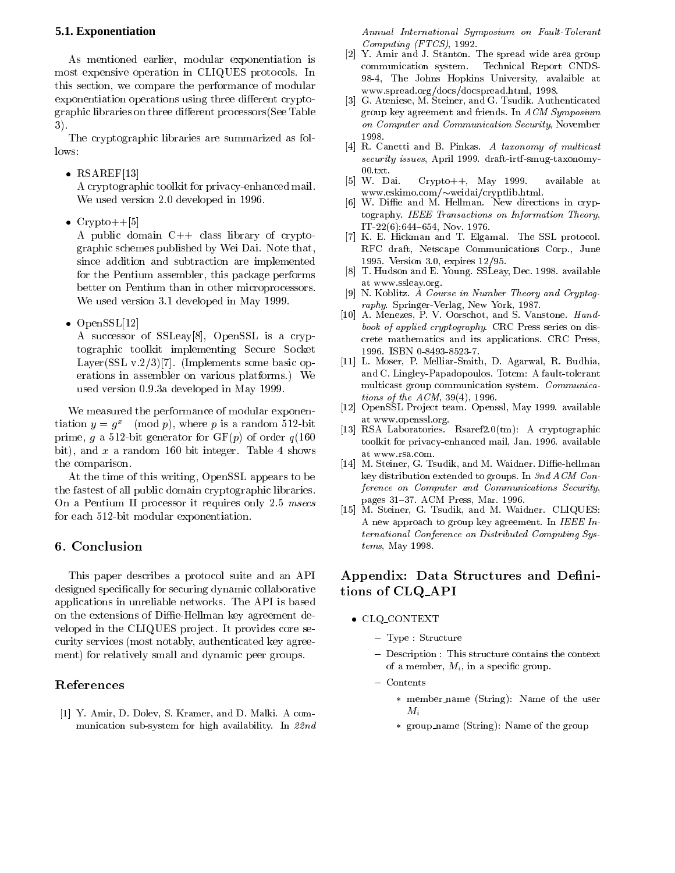### **5.1. Exponentiation**

As mentioned earlier, modular exponentiation is most expensive operation in CLIQUES protocols. In this section, we compare the performance of modular exponentiation operations using three different cryptographic libraries on three different processors (See Table 3).

The cryptographic libraries are summarized as follows:

 $\bullet$  RSAREF[13]

A cryptographic toolkit for privacy-enhanced mail. We used version 2.0 developed in 1996.

 $\bullet$  Crypto $++$ [5]

A public domain C++ class library of cryptographic schemes published by Wei Dai. Note that, since addition and subtraction are implemented for the Pentium assembler, this package performs better on Pentium than in other microprocessors. We used version 3.1 developed in May 1999.

OpenSSL[12]

A successor of SSLeay[8], OpenSSL is a cryptographic toolkit implementing Secure Socket Layer(SSL v.2/3)[7]. (Implements some basic operations in assembler on various platforms.) We used version 0.9.3a developed in May 1999.

We measured the performance of modular exponentiation  $y = g^2$  (mod p), where p is a random 512-bit prime, g a 512-bit generator for  $GF(p)$  of order  $q(160)$ bit), and x a random 160 bit integer. Table 4 shows the comparison.

At the time of this writing, OpenSSL appears to be the fastest of all public domain cryptographic libraries. On a Pentium II processor it requires only 2.5 msecs for each 512-bit modular exponentiation.

### 6. Conclusion

This paper describes a protocol suite and an API designed specically for securing dynamic collaborative applications in unreliable networks. The API is based on the extensions of Diffie-Hellman key agreement developed in the CLIQUES project. It provides core security services (most notably, authenticated key agreement) for relatively small and dynamic peer groups.

### References

[1] Y. Amir, D. Dolev, S. Kramer, and D. Malki. A com munication sub-system for high availability. In 22nd Annual International Symposium on Fault-Tolerant Computing (FTCS), 1992.

- [2] Y. Amir and J. Stanton. The spread wide area group communication system. Technical Report CNDS-98-4, The Johns Hopkins University, avalaible at www.spread.org/docs/docspread.html, 1998.
- [3] G. Ateniese, M. Steiner, and G. Tsudik. Authenticated group key agreement and friends. In ACM Symposium on Computer and Communication Security, November 1998.
- $\begin{array}{ccc} \hbox{a} & \hbox{c} & \hbox{c} & \hbox{c} \ \hbox{b} & \hbox{c} & \hbox{c} & \hbox{d} \ \hbox{c} & \hbox{c} & \hbox{c} & \hbox{d} \ \hbox{d} & \hbox{c} & \hbox{c} & \hbox{d} \ \hbox{d} & \hbox{c} & \hbox{c} & \hbox{d} \ \hbox{d} & \hbox{c} & \hbox{c} & \hbox{d} \ \hbox{d} & \hbox{c} & \hbox{c} & \hbox{d} \ \hbox{d} & \hbox{c} & \hbox$ security issues, April 1999. draft-irtf-smug-taxonomy-00.txt.
- [5] W. Dai. Crypto++, May 1999. available at www.eskimo.com/weidai/cryptlib.html.
- $\mathbb{R}^n$  with a new directions in cryptal measurements in cryptal measurements in cryptal measurements in cryptography. IEEE Transactions on Information Theory, IT-22(6):644{654, Nov. 1976.
- [7] K. E. Hickman and T. Elgamal. The SSL protocol. RFC draft, Netscape Communications Corp., June 1995. Version 3.0, expires 12/95.
- $\left[ 8 \right]$ [8] T. Hudson and E. Young. SSLeay, Dec. 1998. available at www.ssleay.org.
- $\lceil 9 \rceil$ N. Koblitz. A Course in Number Theory and Cryptography. Springer-Verlag, New York, 1987.
- [10] A. Menezes, P. V. Oorschot, and S. Vanstone. Handbook of applied cryptography. CRC Press series on discrete mathematics and its applications. CRC Press, 1996. ISBN 0-8493-8523-7.
- [11] L. Moser, P. Melliar-Smith, D. Agarwal, R. Budhia, and C. Lingley-Papadopoulos. Totem: A fault-tolerant multicast group communication system. Communications of the  $ACM$ , 39(4), 1996.
- [12] OpenSSL Project team. Openssl, May 1999. available at www.openssl.org.
- [13] RSA Laboratories. Rsaref2.0(tm): A cryptographic toolkit for privacy-enhanced mail, Jan. 1996. available at www.rsa.com.
- [14] M. Steiner, G. Tsudik, and M. Waidner. Diffie-hellman key distribution extended to groups. In 3nd ACM Conference on Computer and Communications Security, pages 31-37. ACM Press, Mar. 1996.
- [15] M. Steiner, G. Tsudik, and M. Waidner. CLIQUES: A new approach to group key agreement. In IEEE International Conference on Distributed Computing Systems, May 1998.

## Appendix: Data Structures and Definitions of CLQ API

- CLQ CONTEXT
	- ${\bf r}$ ,  ${\bf p}$   ${\bf c}$  :  ${\bf b}$   ${\bf c}$  :  ${\bf u}$   ${\bf c}$  :  ${\bf u}$
	- { Description : This structure contains the context of a member,  $M_i$ , in a specific group.
	- ${\rm \sim}$   ${\rm \sim}$   ${\rm \sim}$   ${\rm \sim}$ 
		- member name (String): Name of the user  $M_i$
		- group name (String): Name of the group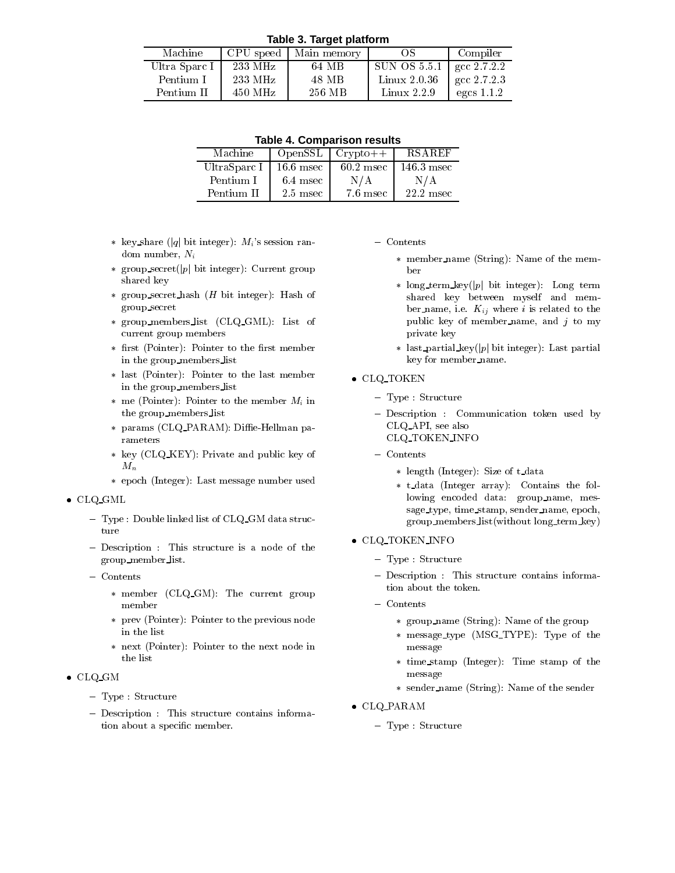**Table 3. Target platform**

| Machine       | CPU speed         | Main memory | ЭS              | Compiler     |
|---------------|-------------------|-------------|-----------------|--------------|
| Ultra Sparc I | $233 \text{ MHz}$ | 64 MB       | SUN OS 5.5.1    | gcc 2.7.2.2  |
| Pentium I     | $233 \text{ MHz}$ | 48 MB       | $Linux\ 2.0.36$ | gcc 2.7.2.3  |
| Pentium II    | $450$ MHz         | 256 MB      | Linux $2.2.9$   | egcs $1.1.2$ |

|  |  | <b>Table 4. Comparison results</b> |  |
|--|--|------------------------------------|--|
|--|--|------------------------------------|--|

| Machine                  |            | $OpenSSL$ $Crypto++$ | <b>RSAREF</b> |
|--------------------------|------------|----------------------|---------------|
| UltraSparc I   16.6 msec |            | $60.2$ msec          | - 146.3 msec  |
| Pentium I                | $6.4$ msec | N/A                  | N/A           |
| Pentium II               | $2.5$ msec | $7.6$ msec           | $22.2$ msec   |

- \* key share (|q| bit integer):  $M_i$ 's session random number, Ni
- \* group\_secret(|p| bit integer): Current group shared key
- group secret hash (H bit integer): Hash of group secret
- group members list (CLQ GML): List of current group members
- \* first (Pointer): Pointer to the first member in the group members list
- last (Pointer): Pointer to the last member in the group members list
- \* me (Pointer): Pointer to the member  $M_i$  in the group members list
- \* params (CLQ\_PARAM): Diffie-Hellman parameters
- key (CLQ KEY): Private and public key of  $M_n$
- epoch (Integer): Last message number used

#### CLQ GML

- ${\bf r}$  ,  ${\bf p}$  . Double limited list of CDQ CM data structureture
- $\sim$  Description : This structure is a node of the  $\sim$ group member list.
- ${\rm \sim}$   ${\rm \sim}$   ${\rm \sim}$   ${\rm \sim}$ 
	- member (CLQ GM): The current group member
	- prev (Pointer): Pointer to the previous node in the list
	- next (Pointer): Pointer to the next node in the list
- $\bullet$  CLQ\_GM
	- ${\bf r}$ ,  ${\bf p}$   ${\bf c}$  :  ${\bf b}$   ${\bf c}$  :  ${\bf u}$   ${\bf c}$  :  ${\bf u}$
	- { Description : This structure contains information about a specic member.

#### ${\rm \sim}$   ${\rm \sim}$   ${\rm \sim}$   ${\rm \sim}$

- member name (String): Name of the member
- long term key(jpj bit integer): Long term shared key between myself and mem ber name, i.e.  $K_{ij}$  where i is related to the public key of member name, and  $j$  to my private key
- \* last\_partial\_key(|p| bit integer): Last partial key for member name.
- CLQ TOKEN
	- ${\bf r}$ ,  ${\bf p}$   ${\bf c}$  :  ${\bf b}$   ${\bf c}$  :  ${\bf u}$   ${\bf c}$  :  ${\bf u}$
	- $\sim$  Description : Communication token used by CLQ API, see also CLQ TOKEN INFO
	- ${\rm \sim}$   ${\rm \sim}$   ${\rm \sim}$   ${\rm \sim}$ 
		- \* length (Integer): Size of t\_data
		- t data (Integer array): Contains the following encoded data: group name, mes sage type, time stamp, sender name, epoch, group members list(without long term key)
- CLQ TOKEN INFO
	- ${\bf r}$ ,  ${\bf p}$   ${\bf c}$  :  ${\bf b}$   ${\bf c}$  :  ${\bf u}$   ${\bf c}$  :  ${\bf u}$
	- $\sim$  Description : This structure contains information about the token.
	- ${\rm \sim}$   ${\rm \sim}$   ${\rm \sim}$   ${\rm \sim}$ 
		- group name (String): Name of the group
		- message type (MSG TYPE): Type of the message
		- time stamp (Integer): Time stamp of the message
		- sender name (String): Name of the sender
- CLQ PARAM
	- ${\color{red}1}$  , p.e. between  ${\color{red}0}$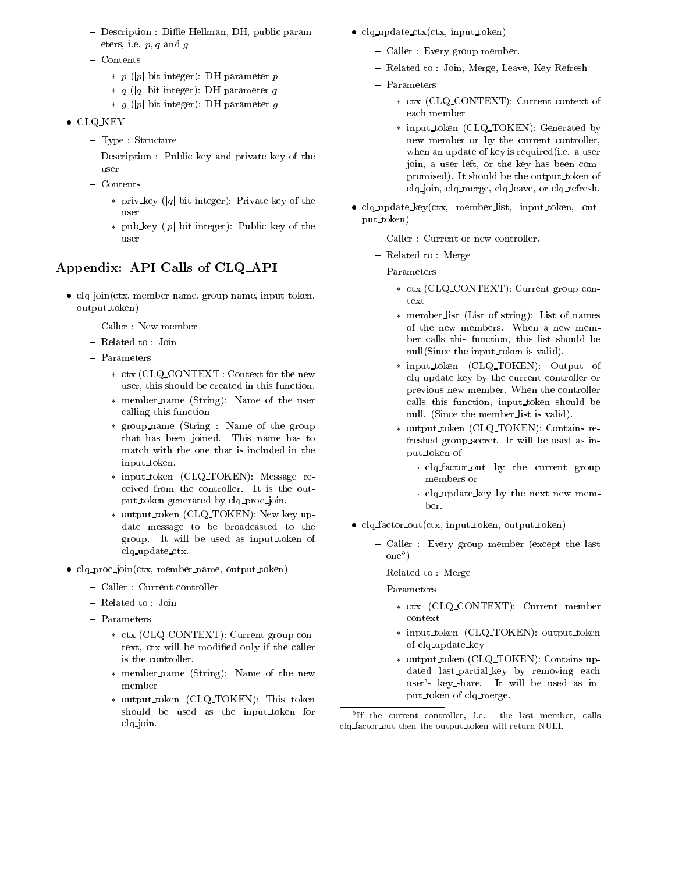- { Description : Die-Hellman, DH, public parameters, i.e.  $p, q$  and  $q$
- ${\rm C}$  can can control
	- $p(p)$  bit integer): DH parameter p
	- $\ast$  q (|q| bit integer): DH parameter q
	- \*  $g$  (|p| bit integer): DH parameter  $g$
- CLQ KEY
	- ${\bf r}$ ,  ${\bf p}$   ${\bf c}$  :  ${\bf b}$   ${\bf c}$  :  ${\bf u}$   ${\bf c}$  :  ${\bf u}$
	- $\sim$  Description : Public hey and private key of the user
	- Contents
		- \* priv\_key (|q| bit integer): Private key of the user
		- \* pub key (|p| bit integer): Public key of the

# Appendix: API Calls of CLQ API

- clq join(ctx, member name, group name, input token, output token)
	- ${\rm C}$  and  ${\rm C}$  is now member
	- $\frac{1}{2}$
	- ${\bf r}$  arameters
		- ctx (CLQ CONTEXT : Context for the new user, this should be created in this function.
		- member name (String): Name of the user calling this function
		- group name (String : Name of the group that has been joined. This name has to match with the one that is included in the input token.
		- input token (CLQ TOKEN): Message re ceived from the controller. It is the output token generated by clq proc join.
		- output token (CLQ TOKEN): New key update message to be broadcasted to the group. It will be used as input token of clq update ctx.
- clq proc join(ctx, member name, output token)
	- $\sigma$  caller called controller
	- ${\bf r}$  related to : Joint
	- ${\bf r}$  arameters
		- ctx (CLQ CONTEXT): Current group context, ctx will be modied only if the caller is the controller.
		- member name (String): Name of the new member
		- output token (CLQ TOKEN): This token should be used as the input token for clq join.
- $clq$ -update-ctx(ctx, input token)
	- $\sigma$  caller  $\sigma$  :  $\sigma$  is  $\sigma$  in  $\sigma$  in  $\sigma$
	- $\frac{1}{2}$  relative to : Join, McI  $\frac{1}{2}$  and  $\frac{1}{2}$  and  $\frac{1}{2}$  are  $\frac{1}{2}$
	- ${\bf r}$  arameters
		- ctx (CLQ CONTEXT): Current context of each member
		- input token (CLQ TOKEN): Generated by new member or by the current controller, when an update of key is required(i.e. a user join, a user left, or the key has been compromised). It should be the output token of clq join, clq merge, clq leave, or clq refresh.
- clq\_update\_key(ctx, member\_list, input\_token, output token)
	- { Caller : Current or new controller.
	- $\sim$   $\sim$   $\sim$   $\sim$   $\sim$   $\sim$   $\sim$   $\sim$
	- ${\bf r}$  arameters
		- ctx (CLQ CONTEXT): Current group con-
		- member list (List of string): List of names of the new members. When a new mem ber calls this function, this list should be null(Since the input token is valid).
		- input token (CLQ TOKEN): Output of clq update key by the current controller or previous new member. When the controller calls this function, input token should be null. (Since the member list is valid).
		- output token (CLQ TOKEN): Contains refreshed group secret. It will be used as input token of
			- clq factor out by the current group members or
			- clq update key by the next new mem-
- clq factor out(ctx, input token, output token)
	- { Caller : Every group member (except the last  $one<sup>5</sup>$ )  $\mathbf{I}$  , and the set of  $\mathbf{I}$
	- $\sim$   $\sim$   $\sim$   $\sim$   $\sim$   $\sim$   $\sim$   $\sim$
	- ${\bf r}$  arameters
		- ctx (CLQ CONTEXT): Current member context
		- input token (CLQ TOKEN): output token of clq update key
		- output token (CLQ TOKEN): Contains updated last partial key by removing each user's key share. It will be used as input token of clq merge.

<sup>5</sup> If the current controller, i.e. the last member, calls clq factor out then the output token will return NULL